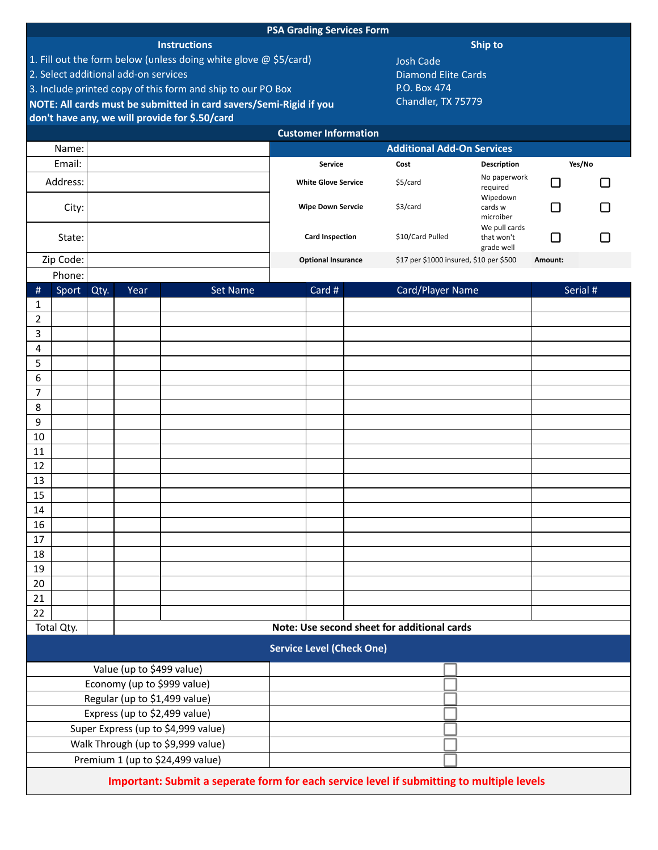| <b>PSA Grading Services Form</b>                                                          |       |      |      |                                                |                             |  |                                   |                                                       |         |          |
|-------------------------------------------------------------------------------------------|-------|------|------|------------------------------------------------|-----------------------------|--|-----------------------------------|-------------------------------------------------------|---------|----------|
| <b>Instructions</b><br><b>Ship to</b>                                                     |       |      |      |                                                |                             |  |                                   |                                                       |         |          |
| 1. Fill out the form below (unless doing white glove @ \$5/card)                          |       |      |      |                                                |                             |  | <b>Josh Cade</b>                  |                                                       |         |          |
| 2. Select additional add-on services                                                      |       |      |      |                                                |                             |  | <b>Diamond Elite Cards</b>        |                                                       |         |          |
| 3. Include printed copy of this form and ship to our PO Box                               |       |      |      |                                                |                             |  | P.O. Box 474                      |                                                       |         |          |
| NOTE: All cards must be submitted in card savers/Semi-Rigid if you                        |       |      |      |                                                |                             |  | Chandler, TX 75779                |                                                       |         |          |
|                                                                                           |       |      |      | don't have any, we will provide for \$.50/card |                             |  |                                   |                                                       |         |          |
|                                                                                           |       |      |      |                                                | <b>Customer Information</b> |  |                                   |                                                       |         |          |
|                                                                                           | Name: |      |      |                                                |                             |  | <b>Additional Add-On Services</b> |                                                       |         |          |
| Email:                                                                                    |       |      |      |                                                | <b>Service</b>              |  | Cost                              | <b>Description</b>                                    | Yes/No  |          |
| Address:                                                                                  |       |      |      |                                                | <b>White Glove Service</b>  |  | \$5/card                          | No paperwork                                          | □       | ΙI       |
|                                                                                           |       |      |      |                                                |                             |  |                                   | required<br>Wipedown                                  |         |          |
| City:                                                                                     |       |      |      |                                                | <b>Wipe Down Servcie</b>    |  | \$3/card                          | cards w<br>microiber                                  | □       | ΙI       |
| State:                                                                                    |       |      |      |                                                | <b>Card Inspection</b>      |  | \$10/Card Pulled                  | We pull cards<br>that won't                           | l 1     |          |
| Zip Code:                                                                                 |       |      |      |                                                | <b>Optional Insurance</b>   |  |                                   | grade well<br>\$17 per \$1000 insured, \$10 per \$500 |         |          |
| Phone:                                                                                    |       |      |      |                                                |                             |  |                                   |                                                       | Amount: |          |
| #                                                                                         | Sport | Qty. | Year | <b>Set Name</b>                                | Card #                      |  | Card/Player Name                  |                                                       |         | Serial # |
| $\mathbf{1}$                                                                              |       |      |      |                                                |                             |  |                                   |                                                       |         |          |
| $\overline{2}$                                                                            |       |      |      |                                                |                             |  |                                   |                                                       |         |          |
| 3                                                                                         |       |      |      |                                                |                             |  |                                   |                                                       |         |          |
| 4                                                                                         |       |      |      |                                                |                             |  |                                   |                                                       |         |          |
| 5                                                                                         |       |      |      |                                                |                             |  |                                   |                                                       |         |          |
| 6                                                                                         |       |      |      |                                                |                             |  |                                   |                                                       |         |          |
| 7                                                                                         |       |      |      |                                                |                             |  |                                   |                                                       |         |          |
| 8                                                                                         |       |      |      |                                                |                             |  |                                   |                                                       |         |          |
| 9                                                                                         |       |      |      |                                                |                             |  |                                   |                                                       |         |          |
| 10                                                                                        |       |      |      |                                                |                             |  |                                   |                                                       |         |          |
| 11<br>12                                                                                  |       |      |      |                                                |                             |  |                                   |                                                       |         |          |
| 13                                                                                        |       |      |      |                                                |                             |  |                                   |                                                       |         |          |
| 15                                                                                        |       |      |      |                                                |                             |  |                                   |                                                       |         |          |
| 14                                                                                        |       |      |      |                                                |                             |  |                                   |                                                       |         |          |
| 16                                                                                        |       |      |      |                                                |                             |  |                                   |                                                       |         |          |
| 17                                                                                        |       |      |      |                                                |                             |  |                                   |                                                       |         |          |
| 18                                                                                        |       |      |      |                                                |                             |  |                                   |                                                       |         |          |
| 19                                                                                        |       |      |      |                                                |                             |  |                                   |                                                       |         |          |
| 20                                                                                        |       |      |      |                                                |                             |  |                                   |                                                       |         |          |
| 21                                                                                        |       |      |      |                                                |                             |  |                                   |                                                       |         |          |
| 22                                                                                        |       |      |      |                                                |                             |  |                                   |                                                       |         |          |
| Total Qty.<br>Note: Use second sheet for additional cards                                 |       |      |      |                                                |                             |  |                                   |                                                       |         |          |
| <b>Service Level (Check One)</b>                                                          |       |      |      |                                                |                             |  |                                   |                                                       |         |          |
| Value (up to \$499 value)                                                                 |       |      |      |                                                |                             |  |                                   |                                                       |         |          |
| Economy (up to \$999 value)                                                               |       |      |      |                                                |                             |  |                                   |                                                       |         |          |
| Regular (up to \$1,499 value)                                                             |       |      |      |                                                |                             |  |                                   |                                                       |         |          |
| Express (up to \$2,499 value)                                                             |       |      |      |                                                |                             |  |                                   |                                                       |         |          |
| Super Express (up to \$4,999 value)                                                       |       |      |      |                                                |                             |  |                                   |                                                       |         |          |
|                                                                                           |       |      |      | Walk Through (up to \$9,999 value)             |                             |  |                                   |                                                       |         |          |
| Premium 1 (up to \$24,499 value)                                                          |       |      |      |                                                |                             |  |                                   |                                                       |         |          |
| Important: Submit a seperate form for each service level if submitting to multiple levels |       |      |      |                                                |                             |  |                                   |                                                       |         |          |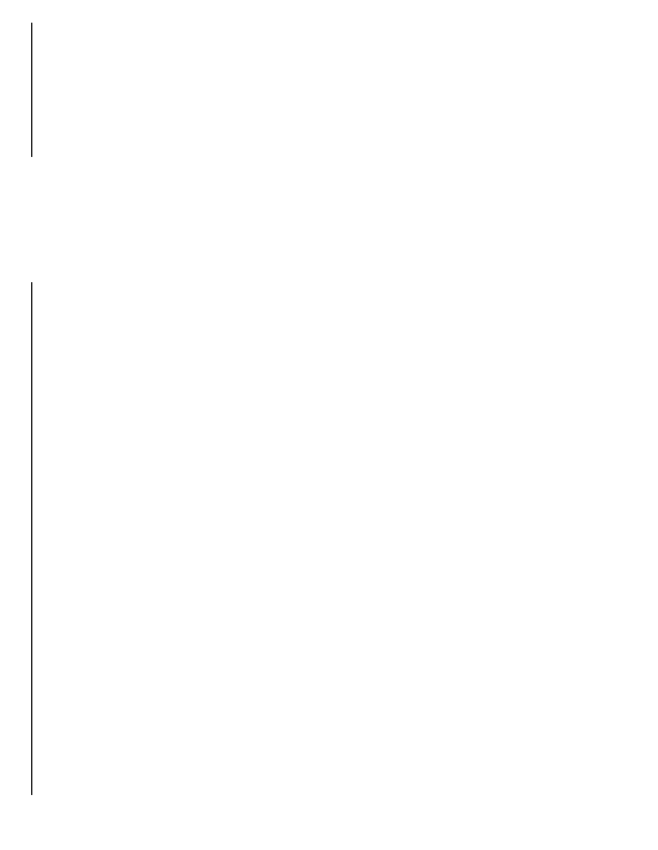